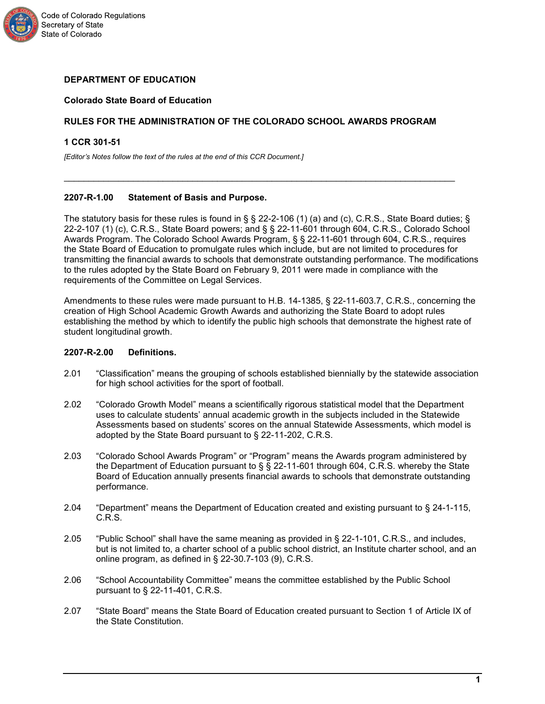

# **DEPARTMENT OF EDUCATION**

# **Colorado State Board of Education**

# **RULES FOR THE ADMINISTRATION OF THE COLORADO SCHOOL AWARDS PROGRAM**

 $\mathcal{L}_\text{max}$  , and the contribution of the contribution of the contribution of the contribution of the contribution of the contribution of the contribution of the contribution of the contribution of the contribution of t

#### **1 CCR 301-51**

*[Editor's Notes follow the text of the rules at the end of this CCR Document.]*

## **2207-R-1.00 Statement of Basis and Purpose.**

The statutory basis for these rules is found in § § 22-2-106 (1) (a) and (c), C.R.S., State Board duties; § 22-2-107 (1) (c), C.R.S., State Board powers; and § § 22-11-601 through 604, C.R.S., Colorado School Awards Program. The Colorado School Awards Program, § § 22-11-601 through 604, C.R.S., requires the State Board of Education to promulgate rules which include, but are not limited to procedures for transmitting the financial awards to schools that demonstrate outstanding performance. The modifications to the rules adopted by the State Board on February 9, 2011 were made in compliance with the requirements of the Committee on Legal Services.

Amendments to these rules were made pursuant to H.B. 14-1385, § 22-11-603.7, C.R.S., concerning the creation of High School Academic Growth Awards and authorizing the State Board to adopt rules establishing the method by which to identify the public high schools that demonstrate the highest rate of student longitudinal growth.

#### **2207-R-2.00 Definitions.**

- 2.01 "Classification" means the grouping of schools established biennially by the statewide association for high school activities for the sport of football.
- 2.02 "Colorado Growth Model" means a scientifically rigorous statistical model that the Department uses to calculate students' annual academic growth in the subjects included in the Statewide Assessments based on students' scores on the annual Statewide Assessments, which model is adopted by the State Board pursuant to § 22-11-202, C.R.S.
- 2.03 "Colorado School Awards Program" or "Program" means the Awards program administered by the Department of Education pursuant to § § 22-11-601 through 604, C.R.S. whereby the State Board of Education annually presents financial awards to schools that demonstrate outstanding performance.
- 2.04 "Department" means the Department of Education created and existing pursuant to § 24-1-115, C.R.S.
- 2.05 "Public School" shall have the same meaning as provided in § 22-1-101, C.R.S., and includes, but is not limited to, a charter school of a public school district, an Institute charter school, and an online program, as defined in § 22-30.7-103 (9), C.R.S.
- 2.06 "School Accountability Committee" means the committee established by the Public School pursuant to § 22-11-401, C.R.S.
- 2.07 "State Board" means the State Board of Education created pursuant to Section 1 of Article IX of the State Constitution.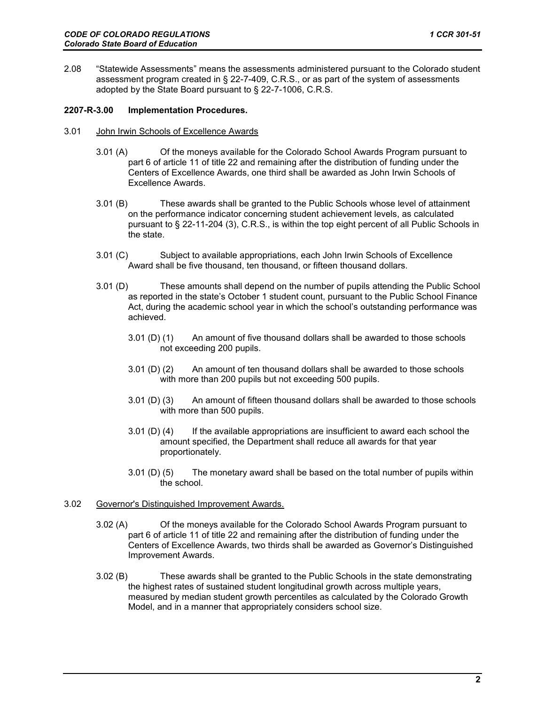2.08 "Statewide Assessments" means the assessments administered pursuant to the Colorado student assessment program created in § 22-7-409, C.R.S., or as part of the system of assessments adopted by the State Board pursuant to § 22-7-1006, C.R.S.

## **2207-R-3.00 Implementation Procedures.**

- 3.01 John Irwin Schools of Excellence Awards
	- 3.01 (A) Of the moneys available for the Colorado School Awards Program pursuant to part 6 of article 11 of title 22 and remaining after the distribution of funding under the Centers of Excellence Awards, one third shall be awarded as John Irwin Schools of Excellence Awards.
	- 3.01 (B) These awards shall be granted to the Public Schools whose level of attainment on the performance indicator concerning student achievement levels, as calculated pursuant to § 22-11-204 (3), C.R.S., is within the top eight percent of all Public Schools in the state.
	- 3.01 (C) Subject to available appropriations, each John Irwin Schools of Excellence Award shall be five thousand, ten thousand, or fifteen thousand dollars.
	- 3.01 (D) These amounts shall depend on the number of pupils attending the Public School as reported in the state's October 1 student count, pursuant to the Public School Finance Act, during the academic school year in which the school's outstanding performance was achieved.
		- 3.01 (D) (1) An amount of five thousand dollars shall be awarded to those schools not exceeding 200 pupils.
		- 3.01 (D) (2) An amount of ten thousand dollars shall be awarded to those schools with more than 200 pupils but not exceeding 500 pupils.
		- 3.01 (D) (3) An amount of fifteen thousand dollars shall be awarded to those schools with more than 500 pupils.
		- $3.01$  (D) (4) If the available appropriations are insufficient to award each school the amount specified, the Department shall reduce all awards for that year proportionately.
		- 3.01 (D) (5) The monetary award shall be based on the total number of pupils within the school.

# 3.02 Governor's Distinguished Improvement Awards.

- 3.02 (A) Of the moneys available for the Colorado School Awards Program pursuant to part 6 of article 11 of title 22 and remaining after the distribution of funding under the Centers of Excellence Awards, two thirds shall be awarded as Governor's Distinguished Improvement Awards.
- 3.02 (B) These awards shall be granted to the Public Schools in the state demonstrating the highest rates of sustained student longitudinal growth across multiple years, measured by median student growth percentiles as calculated by the Colorado Growth Model, and in a manner that appropriately considers school size.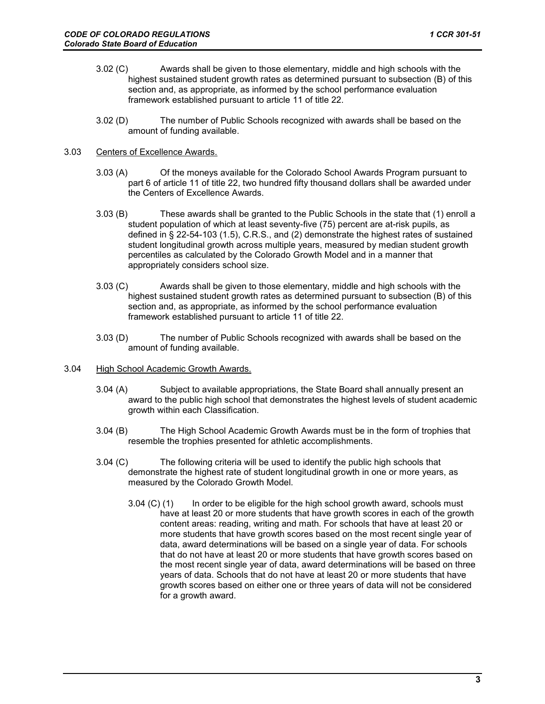- 3.02 (C) Awards shall be given to those elementary, middle and high schools with the highest sustained student growth rates as determined pursuant to subsection (B) of this section and, as appropriate, as informed by the school performance evaluation framework established pursuant to article 11 of title 22.
- 3.02 (D) The number of Public Schools recognized with awards shall be based on the amount of funding available.

## 3.03 Centers of Excellence Awards.

- 3.03 (A) Of the moneys available for the Colorado School Awards Program pursuant to part 6 of article 11 of title 22, two hundred fifty thousand dollars shall be awarded under the Centers of Excellence Awards.
- 3.03 (B) These awards shall be granted to the Public Schools in the state that (1) enroll a student population of which at least seventy-five (75) percent are at-risk pupils, as defined in § 22-54-103 (1.5), C.R.S., and (2) demonstrate the highest rates of sustained student longitudinal growth across multiple years, measured by median student growth percentiles as calculated by the Colorado Growth Model and in a manner that appropriately considers school size.
- 3.03 (C) Awards shall be given to those elementary, middle and high schools with the highest sustained student growth rates as determined pursuant to subsection (B) of this section and, as appropriate, as informed by the school performance evaluation framework established pursuant to article 11 of title 22.
- 3.03 (D) The number of Public Schools recognized with awards shall be based on the amount of funding available.
- 3.04 High School Academic Growth Awards.
	- 3.04 (A) Subject to available appropriations, the State Board shall annually present an award to the public high school that demonstrates the highest levels of student academic growth within each Classification.
	- 3.04 (B) The High School Academic Growth Awards must be in the form of trophies that resemble the trophies presented for athletic accomplishments.
	- 3.04 (C) The following criteria will be used to identify the public high schools that demonstrate the highest rate of student longitudinal growth in one or more years, as measured by the Colorado Growth Model.
		- 3.04 (C) (1) In order to be eligible for the high school growth award, schools must have at least 20 or more students that have growth scores in each of the growth content areas: reading, writing and math. For schools that have at least 20 or more students that have growth scores based on the most recent single year of data, award determinations will be based on a single year of data. For schools that do not have at least 20 or more students that have growth scores based on the most recent single year of data, award determinations will be based on three years of data. Schools that do not have at least 20 or more students that have growth scores based on either one or three years of data will not be considered for a growth award.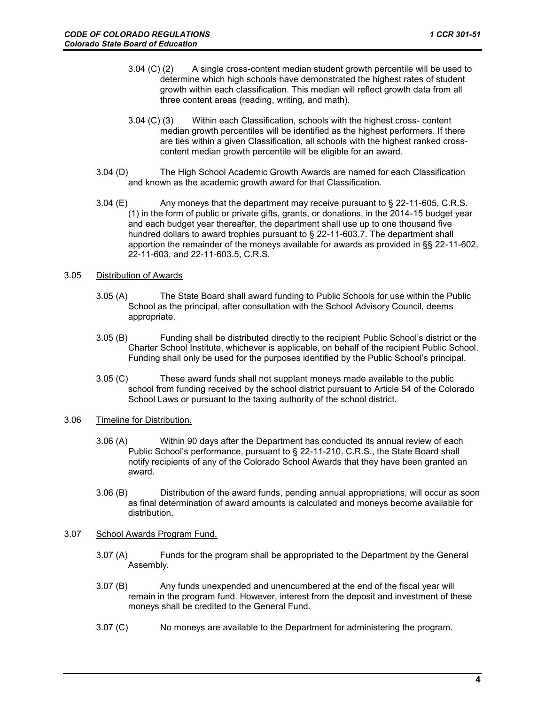- 3.04 (C) (2) A single cross-content median student growth percentile will be used to determine which high schools have demonstrated the highest rates of student growth within each classification. This median will reflect growth data from all three content areas (reading, writing, and math).
- 3.04 (C) (3) Within each Classification, schools with the highest cross- content median growth percentiles will be identified as the highest performers. If there are ties within a given Classification, all schools with the highest ranked crosscontent median growth percentile will be eligible for an award.
- 3.04 (D) The High School Academic Growth Awards are named for each Classification and known as the academic growth award for that Classification.
- 3.04 (E) Any moneys that the department may receive pursuant to § 22-11-605, C.R.S. (1) in the form of public or private gifts, grants, or donations, in the 2014-15 budget year and each budget year thereafter, the department shall use up to one thousand five hundred dollars to award trophies pursuant to § 22-11-603.7. The department shall apportion the remainder of the moneys available for awards as provided in §§ 22-11-602, 22-11-603, and 22-11-603.5, C.R.S.

## 3.05 Distribution of Awards

- 3.05 (A) The State Board shall award funding to Public Schools for use within the Public School as the principal, after consultation with the School Advisory Council, deems appropriate.
- 3.05 (B) Funding shall be distributed directly to the recipient Public School's district or the Charter School Institute, whichever is applicable, on behalf of the recipient Public School. Funding shall only be used for the purposes identified by the Public School's principal.
- 3.05 (C) These award funds shall not supplant moneys made available to the public school from funding received by the school district pursuant to Article 54 of the Colorado School Laws or pursuant to the taxing authority of the school district.
- 3.06 Timeline for Distribution.
	- 3.06 (A) Within 90 days after the Department has conducted its annual review of each Public School's performance, pursuant to § 22-11-210, C.R.S., the State Board shall notify recipients of any of the Colorado School Awards that they have been granted an award.
	- 3.06 (B) Distribution of the award funds, pending annual appropriations, will occur as soon as final determination of award amounts is calculated and moneys become available for distribution.
- 3.07 School Awards Program Fund.
	- 3.07 (A) Funds for the program shall be appropriated to the Department by the General Assembly.
	- 3.07 (B) Any funds unexpended and unencumbered at the end of the fiscal year will remain in the program fund. However, interest from the deposit and investment of these moneys shall be credited to the General Fund.
	- 3.07 (C) No moneys are available to the Department for administering the program.